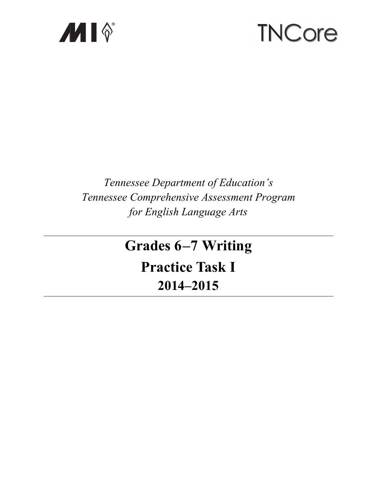

# **TNCore**

# Tennessee Department of Education's Tennessee Comprehensive Assessment Program for English Language Arts

# **Grades 6-7 Writing Practice Task I** 2014-2015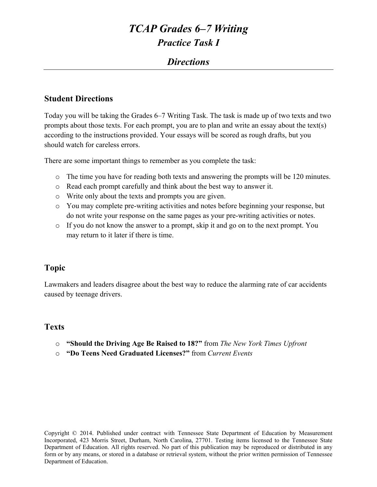### *Directions*

#### **Student Directions**

Today you will be taking the Grades 6–7 Writing Task. The task is made up of two texts and two prompts about those texts. For each prompt, you are to plan and write an essay about the text(s) according to the instructions provided. Your essays will be scored as rough drafts, but you should watch for careless errors.

There are some important things to remember as you complete the task:

- o The time you have for reading both texts and answering the prompts will be 120 minutes.
- o Read each prompt carefully and think about the best way to answer it.
- o Write only about the texts and prompts you are given.
- o You may complete pre-writing activities and notes before beginning your response, but do not write your response on the same pages as your pre-writing activities or notes.
- o If you do not know the answer to a prompt, skip it and go on to the next prompt. You may return to it later if there is time.

#### **Topic**

Lawmakers and leaders disagree about the best way to reduce the alarming rate of car accidents caused by teenage drivers.

#### **Texts**

- o **"Should the Driving Age Be Raised to 18?"** from *The New York Times Upfront*
- o **"Do Teens Need Graduated Licenses?"** from *Current Events*

Copyright © 2014. Published under contract with Tennessee State Department of Education by Measurement Incorporated, 423 Morris Street, Durham, North Carolina, 27701. Testing items licensed to the Tennessee State Department of Education. All rights reserved. No part of this publication may be reproduced or distributed in any form or by any means, or stored in a database or retrieval system, without the prior written permission of Tennessee Department of Education.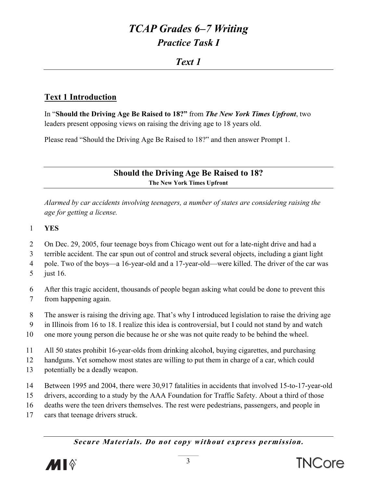### Text 1

### **Text 1 Introduction**

In "Should the Driving Age Be Raised to 18?" from The New York Times Upfront, two leaders present opposing views on raising the driving age to 18 years old.

Please read "Should the Driving Age Be Raised to 18?" and then answer Prompt 1.

**Should the Driving Age Be Raised to 18?** The New York Times Upfront

Alarmed by car accidents involving teenagers, a number of states are considering raising the age for getting a license.

- $\mathbf{1}$ **YES**
- $\overline{2}$ On Dec. 29, 2005, four teenage boys from Chicago went out for a late-night drive and had a
- terrible accident. The car spun out of control and struck several objects, including a giant light 3

 $\overline{4}$ pole. Two of the boys—a 16-year-old and a 17-year-old—were killed. The driver of the car was

 $5<sup>5</sup>$ just  $16$ .

6 After this tragic accident, thousands of people began asking what could be done to prevent this  $\overline{7}$ from happening again.

8 The answer is raising the driving age. That's why I introduced legislation to raise the driving age

9 in Illinois from 16 to 18. I realize this idea is controversial, but I could not stand by and watch

10 one more young person die because he or she was not quite ready to be behind the wheel.

11 All 50 states prohibit 16-year-olds from drinking alcohol, buying cigarettes, and purchasing

12 handguns. Yet somehow most states are willing to put them in charge of a car, which could

- 13 potentially be a deadly weapon.
- 14 Between 1995 and 2004, there were 30,917 fatalities in accidents that involved 15-to-17-year-old
- 15 drivers, according to a study by the AAA Foundation for Traffic Safety. About a third of those
- 16 deaths were the teen drivers themselves. The rest were pedestrians, passengers, and people in
- 17 cars that teenage drivers struck.

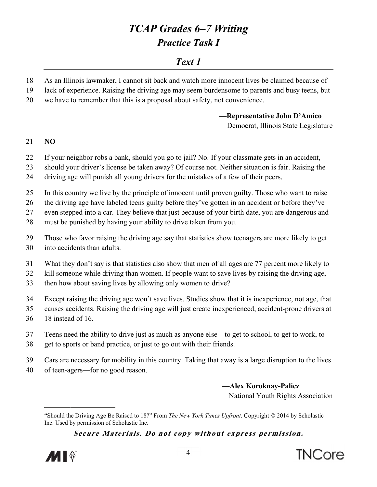### Text 1

- 18 As an Illinois lawmaker, I cannot sit back and watch more innocent lives be claimed because of
- 19 lack of experience. Raising the driving age may seem burdensome to parents and busy teens, but
- 20 we have to remember that this is a proposal about safety, not convenience.

-Representative John D'Amico Democrat, Illinois State Legislature

#### 21  $NO$

- 22 If your neighbor robs a bank, should you go to jail? No. If your classmate gets in an accident,
- 23 should your driver's license be taken away? Of course not. Neither situation is fair. Raising the
- driving age will punish all young drivers for the mistakes of a few of their peers. 24
- 25 In this country we live by the principle of innocent until proven guilty. Those who want to raise
- 26 the driving age have labeled teens guilty before they've gotten in an accident or before they've

27 even stepped into a car. They believe that just because of your birth date, you are dangerous and

- 28 must be punished by having your ability to drive taken from you.
- 29 Those who favor raising the driving age say that statistics show teenagers are more likely to get
- 30 into accidents than adults.
- $31$ What they don't say is that statistics also show that men of all ages are 77 percent more likely to
- 32 kill someone while driving than women. If people want to save lives by raising the driving age,
- 33 then how about saving lives by allowing only women to drive?
- 34 Except raising the driving age won't save lives. Studies show that it is inexperience, not age, that
- 35 causes accidents. Raising the driving age will just create inexperienced, accident-prone drivers at
- 36 18 instead of 16.
- 37 Teens need the ability to drive just as much as anyone else—to get to school, to get to work, to
- 38 get to sports or band practice, or just to go out with their friends.
- 39 Cars are necessary for mobility in this country. Taking that away is a large disruption to the lives
- 40 of teen-agers—for no good reason.

-Alex Koroknay-Palicz National Youth Rights Association





<sup>&</sup>quot;Should the Driving Age Be Raised to 18?" From The New York Times Upfront. Copyright © 2014 by Scholastic Inc. Used by permission of Scholastic Inc.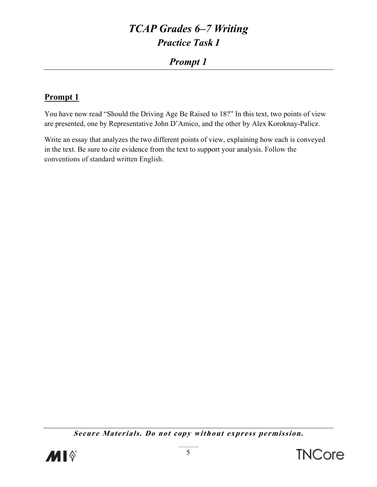### **Prompt 1**

### **Prompt 1**

You have now read "Should the Driving Age Be Raised to 18?" In this text, two points of view are presented, one by Representative John D'Amico, and the other by Alex Koroknay-Palicz.

Write an essay that analyzes the two different points of view, explaining how each is conveyed in the text. Be sure to cite evidence from the text to support your analysis. Follow the conventions of standard written English.



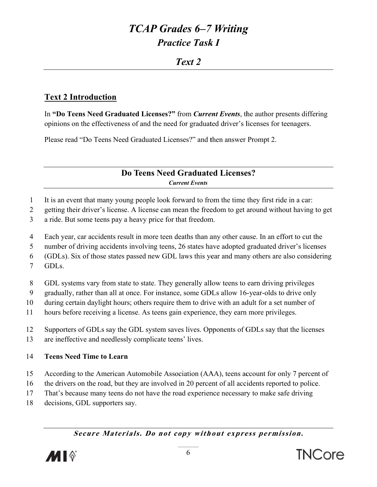### $Tert2$

#### **Text 2 Introduction**

In "Do Teens Need Graduated Licenses?" from Current Events, the author presents differing opinions on the effectiveness of and the need for graduated driver's licenses for teenagers.

Please read "Do Teens Need Graduated Licenses?" and then answer Prompt 2.

#### Do Teens Need Graduated Licenses? **Current Events**

 $\mathbf{1}$ It is an event that many young people look forward to from the time they first ride in a car.

 $\overline{2}$ getting their driver's license. A license can mean the freedom to get around without having to get

- $\overline{3}$ a ride. But some teens pay a heavy price for that freedom.
- $\overline{4}$ Each year, car accidents result in more teen deaths than any other cause. In an effort to cut the
- number of driving accidents involving teens, 26 states have adopted graduated driver's licenses 5

(GDLs). Six of those states passed new GDL laws this year and many others are also considering 6

- $\overline{7}$ GDL<sub>s</sub>.
- 8 GDL systems vary from state to state. They generally allow teens to earn driving privileges
- 9 gradually, rather than all at once. For instance, some GDLs allow 16-year-olds to drive only
- 10 during certain daylight hours; others require them to drive with an adult for a set number of
- 11 hours before receiving a license. As teens gain experience, they earn more privileges.
- 12 Supporters of GDLs say the GDL system saves lives. Opponents of GDLs say that the licenses
- $13$ are ineffective and needlessly complicate teens' lives.

#### $14$ **Teens Need Time to Learn**

- 15 According to the American Automobile Association (AAA), teens account for only 7 percent of
- 16 the drivers on the road, but they are involved in 20 percent of all accidents reported to police.
- 17 That's because many teens do not have the road experience necessary to make safe driving
- 18 decisions, GDL supporters say.

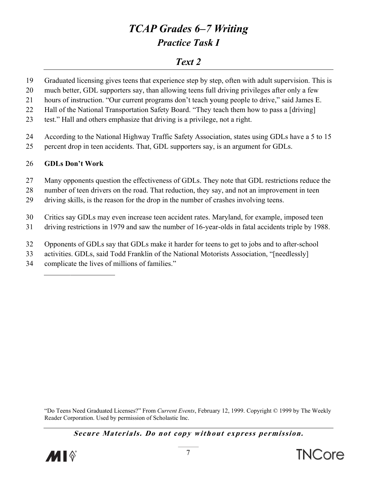### Text 2

- 19 Graduated licensing gives teens that experience step by step, often with adult supervision. This is
- 20 much better, GDL supporters say, than allowing teens full driving privileges after only a few
- hours of instruction. "Our current programs don't teach young people to drive," said James E. 21
- 22 Hall of the National Transportation Safety Board. "They teach them how to pass a [driving]
- 23 test." Hall and others emphasize that driving is a privilege, not a right.
- 24 According to the National Highway Traffic Safety Association, states using GDLs have a 5 to 15
- 25 percent drop in teen accidents. That, GDL supporters say, is an argument for GDLs.

#### 26 **GDLs Don't Work**

- 27 Many opponents question the effectiveness of GDLs. They note that GDL restrictions reduce the
- number of teen drivers on the road. That reduction, they say, and not an improvement in teen 28
- 29 driving skills, is the reason for the drop in the number of crashes involving teens.
- 30 Critics say GDLs may even increase teen accident rates. Maryland, for example, imposed teen
- 31 driving restrictions in 1979 and saw the number of 16-year-olds in fatal accidents triple by 1988.
- 32 Opponents of GDLs say that GDLs make it harder for teens to get to jobs and to after-school
- 33 activities. GDLs, said Todd Franklin of the National Motorists Association, "[needlessly]
- 34 complicate the lives of millions of families."

"Do Teens Need Graduated Licenses?" From Current Events, February 12, 1999. Copyright © 1999 by The Weekly Reader Corporation. Used by permission of Scholastic Inc.